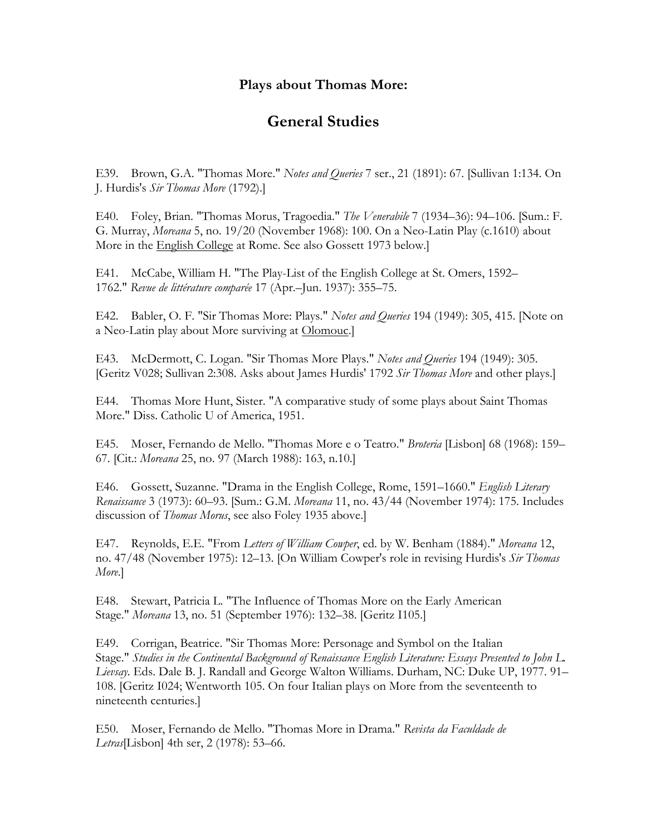## **Plays about Thomas More:**

## **General Studies**

E39. Brown, G.A. "Thomas More." *Notes and Queries* 7 ser., 21 (1891): 67. [Sullivan 1:134. On J. Hurdis's *Sir Thomas More* (1792).]

E40. Foley, Brian. "Thomas Morus, Tragoedia." *The Venerabile* 7 (1934–36): 94–106. [Sum.: F. G. Murray, *Moreana* 5, no. 19/20 (November 1968): 100. On a Neo-Latin Play (c.1610) about More in the English College at Rome. See also Gossett 1973 below.]

E41. McCabe, William H. "The Play-List of the English College at St. Omers, 1592– 1762." *Revue de littérature comparée* 17 (Apr.–Jun. 1937): 355–75.

E42. Babler, O. F. "Sir Thomas More: Plays." *Notes and Queries* 194 (1949): 305, 415. [Note on a Neo-Latin play about More surviving at Olomouc.]

E43. McDermott, C. Logan. "Sir Thomas More Plays." *Notes and Queries* 194 (1949): 305. [Geritz V028; Sullivan 2:308. Asks about James Hurdis' 1792 *Sir Thomas More* and other plays.]

E44. Thomas More Hunt, Sister. "A comparative study of some plays about Saint Thomas More." Diss. Catholic U of America, 1951.

E45. Moser, Fernando de Mello. "Thomas More e o Teatro." *Broteria* [Lisbon] 68 (1968): 159– 67. [Cit.: *Moreana* 25, no. 97 (March 1988): 163, n.10.]

E46. Gossett, Suzanne. "Drama in the English College, Rome, 1591–1660." *English Literary Renaissance* 3 (1973): 60–93. [Sum.: G.M. *Moreana* 11, no. 43/44 (November 1974): 175. Includes discussion of *Thomas Morus*, see also Foley 1935 above.]

E47. Reynolds, E.E. "From *Letters of William Cowper*, ed. by W. Benham (1884)." *Moreana* 12, no. 47/48 (November 1975): 12–13. [On William Cowper's role in revising Hurdis's *Sir Thomas More*.]

E48. Stewart, Patricia L. "The Influence of Thomas More on the Early American Stage." *Moreana* 13, no. 51 (September 1976): 132–38. [Geritz I105.]

E49. Corrigan, Beatrice. "Sir Thomas More: Personage and Symbol on the Italian Stage." *Studies in the Continental Background of Renaissance English Literature: Essays Presented to John L. Lievsay.* Eds. Dale B. J. Randall and George Walton Williams. Durham, NC: Duke UP, 1977. 91– 108. [Geritz I024; Wentworth 105. On four Italian plays on More from the seventeenth to nineteenth centuries.]

E50. Moser, Fernando de Mello. "Thomas More in Drama." *Revista da Faculdade de Letras*[Lisbon] 4th ser, 2 (1978): 53–66.